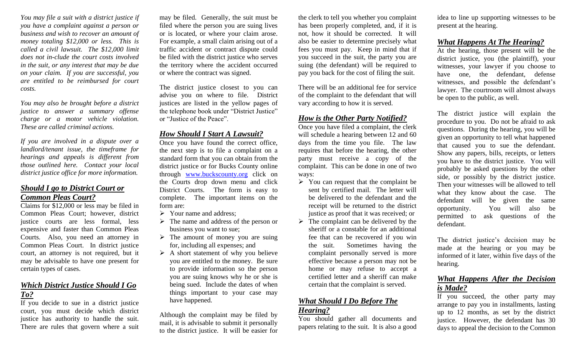*You may file a suit with a district justice if you have a complaint against a person or business and wish to recover an amount of money totaling \$12,000 or less. This is called a civil lawsuit. The \$12,000 limit does not in-clude the court costs involved in the suit, or any interest that may be due on your claim. If you are successful, you are entitled to be reimbursed for court costs.*

*You may also be brought before a district justice to answer a summary offense charge or a motor vehicle violation. These are called criminal actions.*

*If you are involved in a dispute over a landlord/tenant issue, the timeframe for hearings and appeals is different from those outlined here. Contact your local district justice office for more information.*

## *Should I go to District Court or Common Pleas Court?*

Claims for \$12,000 or less may be filed in Common Pleas Court; however, district justice courts are less formal, less expensive and faster than Common Pleas Courts. Also, you need an attorney in Common Pleas Court. In district justice court, an attorney is not required, but it may be advisable to have one present for certain types of cases.

### *Which District Justice Should I Go To?*

If you decide to sue in a district justice court, you must decide which district justice has authority to handle the suit. There are rules that govern where a suit

may be filed. Generally, the suit must be filed where the person you are suing lives or is located, or where your claim arose. For example, a small claim arising out of a traffic accident or contract dispute could be filed with the district justice who serves the territory where the accident occurred or where the contract was signed.

The district justice closest to you can advise you on where to file. District justices are listed in the yellow pages of the telephone book under "District Justice" or "Justice of the Peace".

#### *How Should I Start A Lawsuit?*

Once you have found the correct office, the next step is to file a complaint on a standard form that you can obtain from the district justice or for Bucks County online through [www.buckscounty.org](http://www.buckscounty.org/) click on the Courts drop down menu and click District Courts. The form is easy to complete. The important items on the form are:

- ➢ Your name and address;
- ➢ The name and address of the person or business you want to sue;
- $\triangleright$  The amount of money you are suing for, including all expenses; and
- ➢ A short statement of why you believe you are entitled to the money. Be sure to provide information so the person you are suing knows why he or she is being sued. Include the dates of when things important to your case may have happened.

Although the complaint may be filed by mail, it is advisable to submit it personally to the district justice. It will be easier for the clerk to tell you whether you complaint has been properly completed, and, if it is not, how it should be corrected. It will also be easier to determine precisely what fees you must pay. Keep in mind that if you succeed in the suit, the party you are suing (the defendant) will be required to pay you back for the cost of filing the suit.

There will be an additional fee for service of the complaint to the defendant that will vary according to how it is served.

### *How is the Other Party Notified?*

Once you have filed a complaint, the clerk will schedule a hearing between 12 and 60 days from the time you file. The law requires that before the hearing, the other party must receive a copy of the complaint. This can be done in one of two ways:

- ➢ You can request that the complaint be sent by certified mail. The letter will be delivered to the defendant and the receipt will be returned to the district justice as proof that it was received; or
- $\triangleright$  The complaint can be delivered by the sheriff or a constable for an additional fee that can be recovered if you win the suit. Sometimes having the complaint personally served is more effective because a person may not be home or may refuse to accept a certified letter and a sheriff can make certain that the complaint is served.

# *What Should I Do Before The Hearing?*

You should gather all documents and papers relating to the suit. It is also a good idea to line up supporting witnesses to be present at the hearing.

#### *What Happens At The Hearing?*

At the hearing, those present will be the district justice, you (the plaintiff), your witnesses, your lawyer if you choose to have one, the defendant, defense witnesses, and possible the defendant's lawyer. The courtroom will almost always be open to the public, as well.

The district justice will explain the procedure to you. Do not be afraid to ask questions. During the hearing, you will be given an opportunity to tell what happened that caused you to sue the defendant. Show any papers, bills, receipts, or letters you have to the district justice. You will probably be asked questions by the other side, or possibly by the district justice. Then your witnesses will be allowed to tell what they know about the case. The defendant will be given the same opportunity. You will also be permitted to ask questions of the defendant.

The district justice's decision may be made at the hearing or you may be informed of it later, within five days of the hearing.

# *What Happens After the Decision is Made?*

If you succeed, the other party may arrange to pay you in installments, lasting up to 12 months, as set by the district justice. However, the defendant has 30 days to appeal the decision to the Common